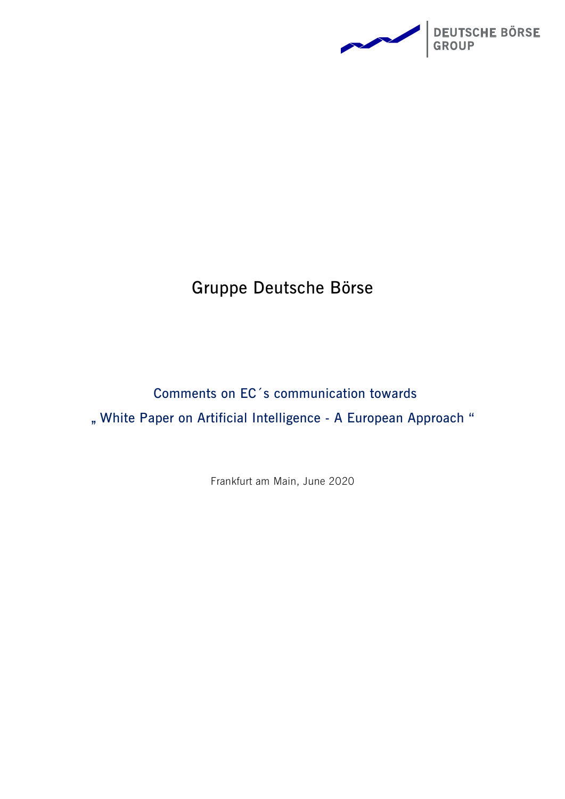

# **Gruppe Deutsche Börse**

# **Comments on EC´s communication towards " White Paper on Artificial Intelligence - A European Approach "**

Frankfurt am Main, June 2020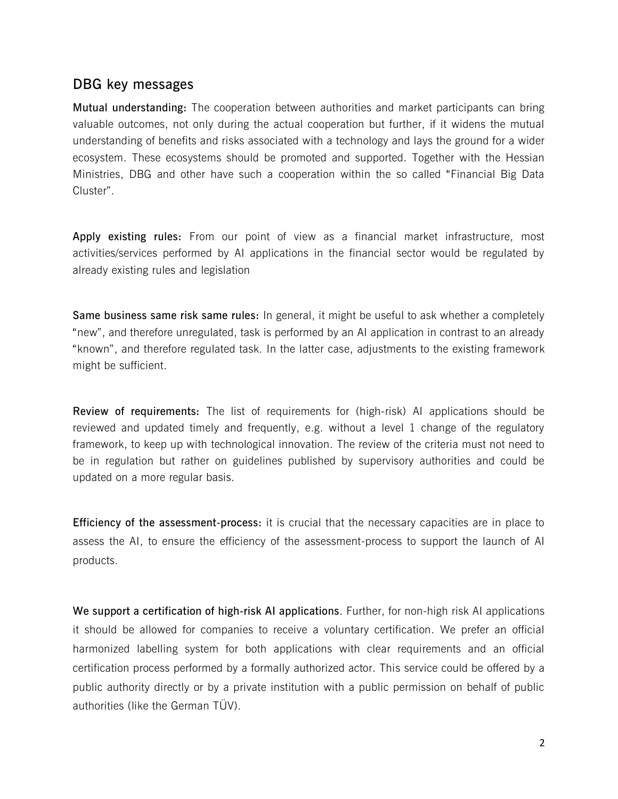### **DBG key messages**

**Mutual understanding:** The cooperation between authorities and market participants can bring valuable outcomes, not only during the actual cooperation but further, if it widens the mutual understanding of benefits and risks associated with a technology and lays the ground for a wider ecosystem. These ecosystems should be promoted and supported. Together with the Hessian Ministries, DBG and other have such a cooperation within the so called "Financial Big Data Cluster".

**Apply existing rules:** From our point of view as a financial market infrastructure, most activities/services performed by AI applications in the financial sector would be regulated by already existing rules and legislation

**Same business same risk same rules:** In general, it might be useful to ask whether a completely "new", and therefore unregulated, task is performed by an AI application in contrast to an already "known", and therefore regulated task. In the latter case, adjustments to the existing framework might be sufficient.

**Review of requirements:** The list of requirements for (high-risk) AI applications should be reviewed and updated timely and frequently, e.g. without a level 1 change of the regulatory framework, to keep up with technological innovation. The review of the criteria must not need to be in regulation but rather on guidelines published by supervisory authorities and could be updated on a more regular basis.

**Efficiency of the assessment-process:** it is crucial that the necessary capacities are in place to assess the AI, to ensure the efficiency of the assessment-process to support the launch of AI products.

**We support a certification of high-risk AI applications**. Further, for non-high risk AI applications it should be allowed for companies to receive a voluntary certification. We prefer an official harmonized labelling system for both applications with clear requirements and an official certification process performed by a formally authorized actor. This service could be offered by a public authority directly or by a private institution with a public permission on behalf of public authorities (like the German TÜV).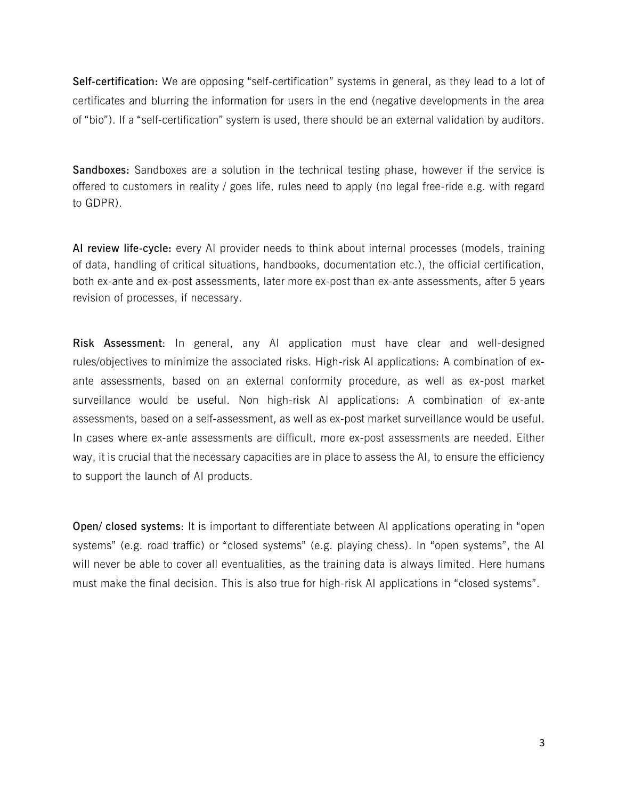**Self-certification:** We are opposing "self-certification" systems in general, as they lead to a lot of certificates and blurring the information for users in the end (negative developments in the area of "bio"). If a "self-certification" system is used, there should be an external validation by auditors.

**Sandboxes:** Sandboxes are a solution in the technical testing phase, however if the service is offered to customers in reality / goes life, rules need to apply (no legal free-ride e.g. with regard to GDPR).

**AI review life-cycle:** every AI provider needs to think about internal processes (models, training of data, handling of critical situations, handbooks, documentation etc.), the official certification, both ex-ante and ex-post assessments, later more ex-post than ex-ante assessments, after 5 years revision of processes, if necessary.

**Risk Assessment**: In general, any AI application must have clear and well-designed rules/objectives to minimize the associated risks. High-risk AI applications: A combination of exante assessments, based on an external conformity procedure, as well as ex-post market surveillance would be useful. Non high-risk AI applications: A combination of ex-ante assessments, based on a self-assessment, as well as ex-post market surveillance would be useful. In cases where ex-ante assessments are difficult, more ex-post assessments are needed. Either way, it is crucial that the necessary capacities are in place to assess the AI, to ensure the efficiency to support the launch of AI products.

**Open/ closed systems**: It is important to differentiate between AI applications operating in "open systems" (e.g. road traffic) or "closed systems" (e.g. playing chess). In "open systems", the AI will never be able to cover all eventualities, as the training data is always limited. Here humans must make the final decision. This is also true for high-risk AI applications in "closed systems".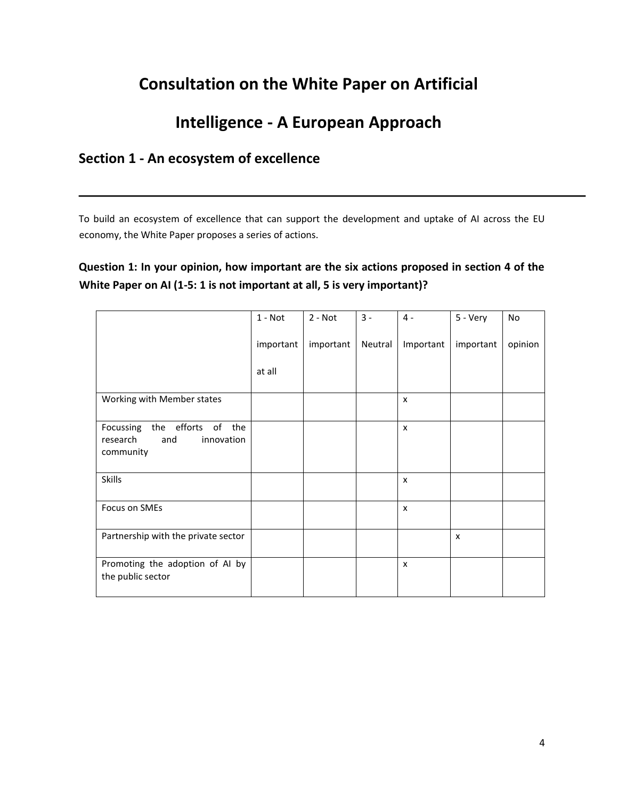## **Consultation on the White Paper on Artificial**

## **Intelligence - A European Approach**

## **Section 1 - An ecosystem of excellence**

To build an ecosystem of excellence that can support the development and uptake of AI across the EU economy, the White Paper proposes a series of actions.

### **Question 1: In your opinion, how important are the six actions proposed in section 4 of the White Paper on AI (1-5: 1 is not important at all, 5 is very important)?**

|                                                                               | $1 - Not$ | $2 - Not$ | $3 -$   | $4 -$                     | 5 - Very                  | <b>No</b> |
|-------------------------------------------------------------------------------|-----------|-----------|---------|---------------------------|---------------------------|-----------|
|                                                                               | important | important | Neutral | Important                 | important                 | opinion   |
|                                                                               | at all    |           |         |                           |                           |           |
| Working with Member states                                                    |           |           |         | $\boldsymbol{\mathsf{x}}$ |                           |           |
| the efforts of the<br>Focussing<br>research<br>and<br>innovation<br>community |           |           |         | $\boldsymbol{\mathsf{x}}$ |                           |           |
| <b>Skills</b>                                                                 |           |           |         | $\boldsymbol{\mathsf{x}}$ |                           |           |
| Focus on SMEs                                                                 |           |           |         | $\boldsymbol{\mathsf{x}}$ |                           |           |
| Partnership with the private sector                                           |           |           |         |                           | $\boldsymbol{\mathsf{x}}$ |           |
| Promoting the adoption of AI by<br>the public sector                          |           |           |         | $\boldsymbol{\mathsf{x}}$ |                           |           |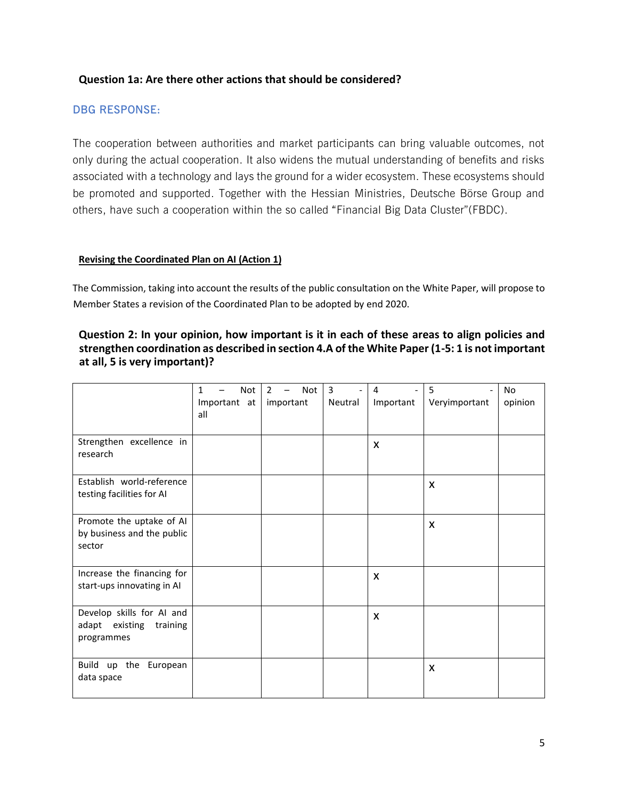#### **Question 1a: Are there other actions that should be considered?**

#### **DBG RESPONSE:**

The cooperation between authorities and market participants can bring valuable outcomes, not only during the actual cooperation. It also widens the mutual understanding of benefits and risks associated with a technology and lays the ground for a wider ecosystem. These ecosystems should be promoted and supported. Together with the Hessian Ministries, Deutsche Börse Group and others, have such a cooperation within the so called "Financial Big Data Cluster"(FBDC).

#### **Revising the Coordinated Plan on AI (Action 1)**

The Commission, taking into account the results of the public consultation on the White Paper, will propose to Member States a revision of the Coordinated Plan to be adopted by end 2020.

#### **Question 2: In your opinion, how important is it in each of these areas to align policies and strengthen coordination as described in section 4.A of the White Paper (1-5: 1 is not important at all, 5 is very important)?**

|                                                                    | Not<br>1<br>Important at<br>all | Not<br>$\overline{2}$<br>$\qquad \qquad -$<br>important | $\overline{3}$<br>$\qquad \qquad \blacksquare$<br>Neutral | 4<br>Important | 5<br>$\overline{\phantom{a}}$<br>Veryimportant | No<br>opinion |
|--------------------------------------------------------------------|---------------------------------|---------------------------------------------------------|-----------------------------------------------------------|----------------|------------------------------------------------|---------------|
| Strengthen excellence in<br>research                               |                                 |                                                         |                                                           | X              |                                                |               |
| Establish world-reference<br>testing facilities for AI             |                                 |                                                         |                                                           |                | X                                              |               |
| Promote the uptake of AI<br>by business and the public<br>sector   |                                 |                                                         |                                                           |                | X                                              |               |
| Increase the financing for<br>start-ups innovating in AI           |                                 |                                                         |                                                           | X              |                                                |               |
| Develop skills for AI and<br>adapt existing training<br>programmes |                                 |                                                         |                                                           | X              |                                                |               |
| Build up the European<br>data space                                |                                 |                                                         |                                                           |                | X                                              |               |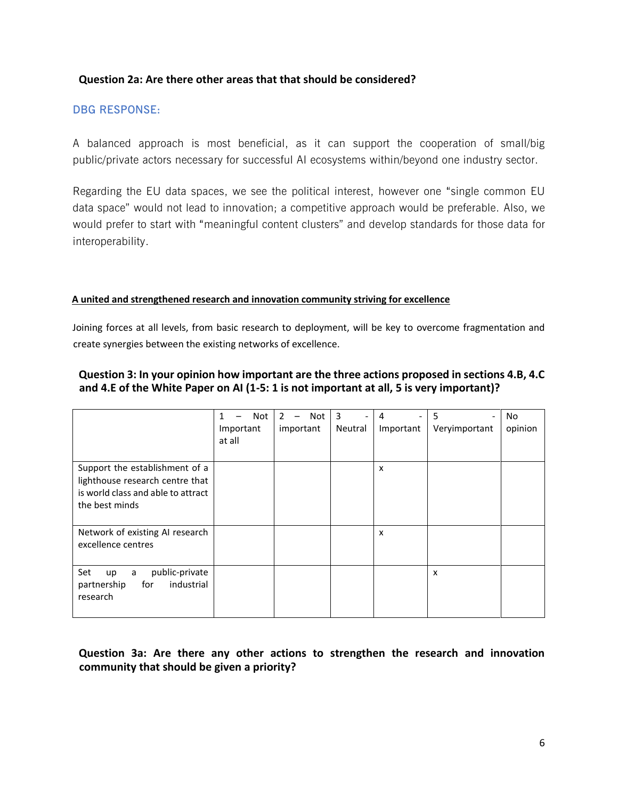#### **Question 2a: Are there other areas that that should be considered?**

#### **DBG RESPONSE:**

A balanced approach is most beneficial, as it can support the cooperation of small/big public/private actors necessary for successful AI ecosystems within/beyond one industry sector.

Regarding the EU data spaces, we see the political interest, however one "single common EU data space" would not lead to innovation; a competitive approach would be preferable. Also, we would prefer to start with "meaningful content clusters" and develop standards for those data for interoperability.

#### **A united and strengthened research and innovation community striving for excellence**

Joining forces at all levels, from basic research to deployment, will be key to overcome fragmentation and create synergies between the existing networks of excellence.

#### **Question 3: In your opinion how important are the three actions proposed in sections 4.B, 4.C and 4.E of the White Paper on AI (1-5: 1 is not important at all, 5 is very important)?**

|                                                                                                                           | Not<br>1<br>Important<br>at all | $\mathcal{P}$<br>Not<br>—<br>important | 3<br>$\overline{\phantom{a}}$<br>Neutral | 4<br>Important | 5<br>$\overline{\phantom{a}}$<br>Veryimportant | No<br>opinion |
|---------------------------------------------------------------------------------------------------------------------------|---------------------------------|----------------------------------------|------------------------------------------|----------------|------------------------------------------------|---------------|
| Support the establishment of a<br>lighthouse research centre that<br>is world class and able to attract<br>the best minds |                                 |                                        |                                          | X              |                                                |               |
| Network of existing AI research<br>excellence centres                                                                     |                                 |                                        |                                          | X              |                                                |               |
| Set<br>public-private<br>up<br>a<br>industrial<br>for<br>partnership<br>research                                          |                                 |                                        |                                          |                | X                                              |               |

#### **Question 3a: Are there any other actions to strengthen the research and innovation community that should be given a priority?**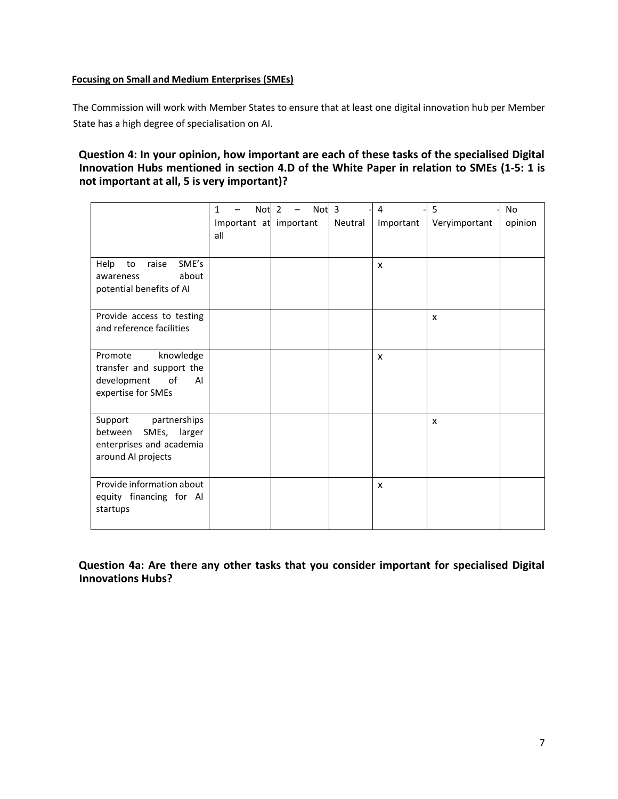#### **Focusing on Small and Medium Enterprises (SMEs)**

The Commission will work with Member States to ensure that at least one digital innovation hub per Member State has a high degree of specialisation on AI.

#### **Question 4: In your opinion, how important are each of these tasks of the specialised Digital Innovation Hubs mentioned in section 4.D of the White Paper in relation to SMEs (1-5: 1 is not important at all, 5 is very important)?**

|                                                                                                      | Not <sub>2</sub><br>$\mathbf{1}$<br>Important at important<br>all | Not <sub>3</sub> | Neutral | 4<br>Important | 5<br>Veryimportant | <b>No</b><br>opinion |
|------------------------------------------------------------------------------------------------------|-------------------------------------------------------------------|------------------|---------|----------------|--------------------|----------------------|
| SME's<br>raise<br>Help<br>to<br>about<br>awareness<br>potential benefits of AI                       |                                                                   |                  |         | $\mathsf{x}$   |                    |                      |
| Provide access to testing<br>and reference facilities                                                |                                                                   |                  |         |                | X                  |                      |
| Promote<br>knowledge<br>transfer and support the<br>development<br>of<br>AI<br>expertise for SMEs    |                                                                   |                  |         | $\mathsf{x}$   |                    |                      |
| partnerships<br>Support<br>between<br>SMEs, larger<br>enterprises and academia<br>around AI projects |                                                                   |                  |         |                | X                  |                      |
| Provide information about<br>equity financing for AI<br>startups                                     |                                                                   |                  |         | X              |                    |                      |

**Question 4a: Are there any other tasks that you consider important for specialised Digital Innovations Hubs?**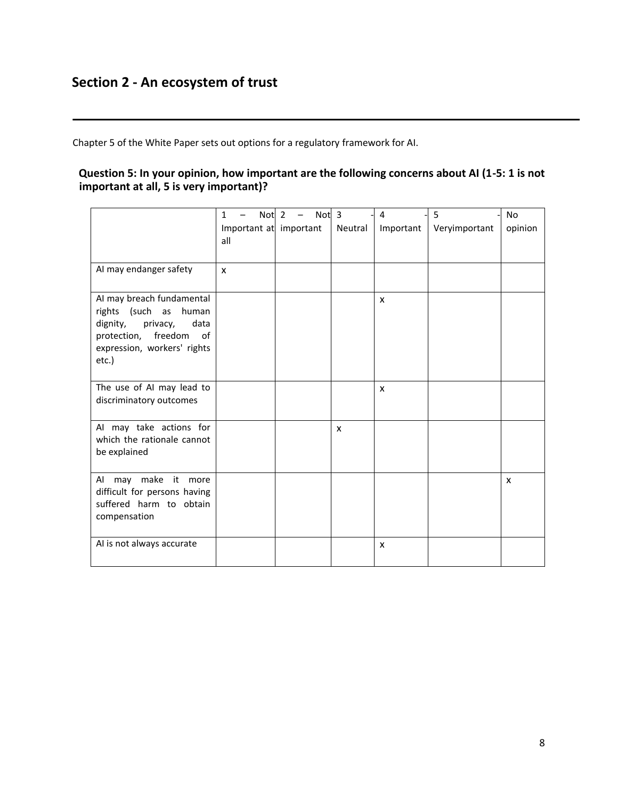## **Section 2 - An ecosystem of trust**

Chapter 5 of the White Paper sets out options for a regulatory framework for AI.

#### **Question 5: In your opinion, how important are the following concerns about AI (1-5: 1 is not important at all, 5 is very important)?**

|                                                                                                                                                      | $\mathbf{1}$<br>all | Not <sub>2</sub> | $\overline{\phantom{a}}$<br>Important at important | Not <sub>3</sub> | Neutral | 4<br>Important | 5<br>Veryimportant | <b>No</b><br>opinion |
|------------------------------------------------------------------------------------------------------------------------------------------------------|---------------------|------------------|----------------------------------------------------|------------------|---------|----------------|--------------------|----------------------|
| AI may endanger safety                                                                                                                               | $\mathsf{x}$        |                  |                                                    |                  |         |                |                    |                      |
| AI may breach fundamental<br>rights (such as human<br>dignity,<br>privacy,<br>data<br>protection, freedom of<br>expression, workers' rights<br>etc.) |                     |                  |                                                    |                  |         | X              |                    |                      |
| The use of AI may lead to<br>discriminatory outcomes                                                                                                 |                     |                  |                                                    |                  |         | X              |                    |                      |
| AI may take actions for<br>which the rationale cannot<br>be explained                                                                                |                     |                  |                                                    |                  | X       |                |                    |                      |
| Al may make it more<br>difficult for persons having<br>suffered harm to obtain<br>compensation                                                       |                     |                  |                                                    |                  |         |                |                    | X                    |
| AI is not always accurate                                                                                                                            |                     |                  |                                                    |                  |         | X              |                    |                      |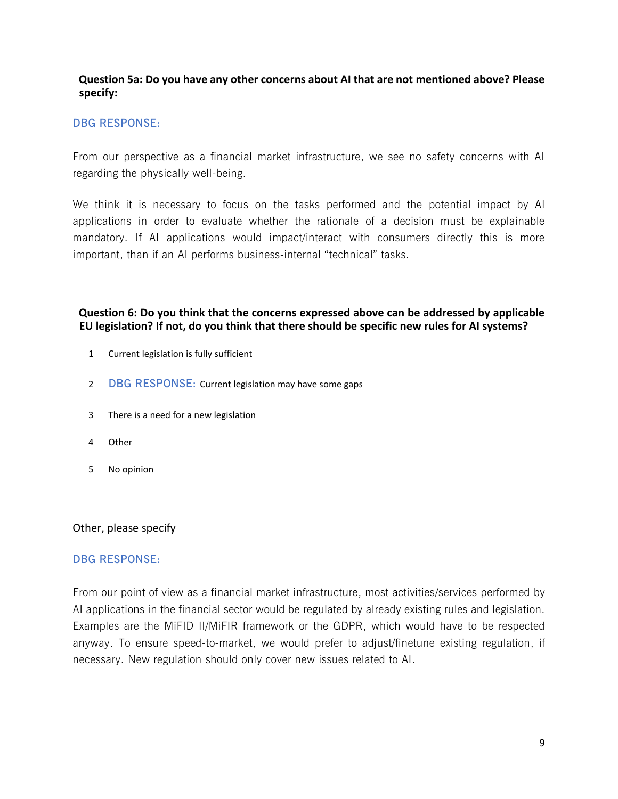#### **Question 5a: Do you have any other concerns about AI that are not mentioned above? Please specify:**

#### **DBG RESPONSE:**

From our perspective as a financial market infrastructure, we see no safety concerns with AI regarding the physically well-being.

We think it is necessary to focus on the tasks performed and the potential impact by AI applications in order to evaluate whether the rationale of a decision must be explainable mandatory. If AI applications would impact/interact with consumers directly this is more important, than if an AI performs business-internal "technical" tasks.

#### **Question 6: Do you think that the concerns expressed above can be addressed by applicable EU legislation? If not, do you think that there should be specific new rules for AI systems?**

- 1 Current legislation is fully sufficient
- 2 **DBG RESPONSE:** Current legislation may have some gaps
- 3 There is a need for a new legislation
- 4 Other
- 5 No opinion

#### Other, please specify

#### **DBG RESPONSE:**

From our point of view as a financial market infrastructure, most activities/services performed by AI applications in the financial sector would be regulated by already existing rules and legislation. Examples are the MiFID II/MiFIR framework or the GDPR, which would have to be respected anyway. To ensure speed-to-market, we would prefer to adjust/finetune existing regulation, if necessary. New regulation should only cover new issues related to AI.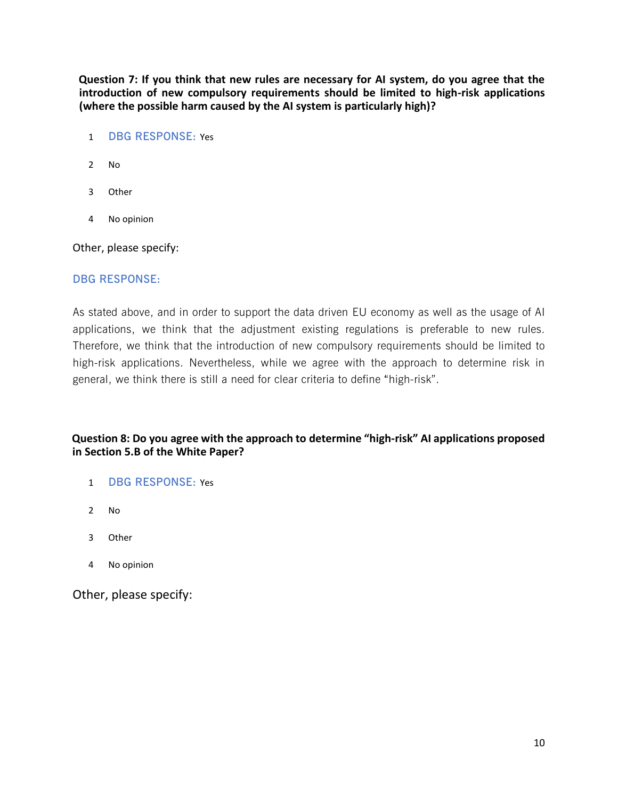**Question 7: If you think that new rules are necessary for AI system, do you agree that the introduction of new compulsory requirements should be limited to high-risk applications (where the possible harm caused by the AI system is particularly high)?**

- 1 **DBG RESPONSE:** Yes
- 2 No
- 3 Other
- 4 No opinion

Other, please specify:

#### **DBG RESPONSE:**

As stated above, and in order to support the data driven EU economy as well as the usage of AI applications, we think that the adjustment existing regulations is preferable to new rules. Therefore, we think that the introduction of new compulsory requirements should be limited to high-risk applications. Nevertheless, while we agree with the approach to determine risk in general, we think there is still a need for clear criteria to define "high-risk".

#### **Question 8: Do you agree with the approach to determine "high-risk" AI applications proposed in Section 5.B of the White Paper?**

- 1 **DBG RESPONSE:** Yes
- 2 No
- 3 Other
- 4 No opinion

Other, please specify: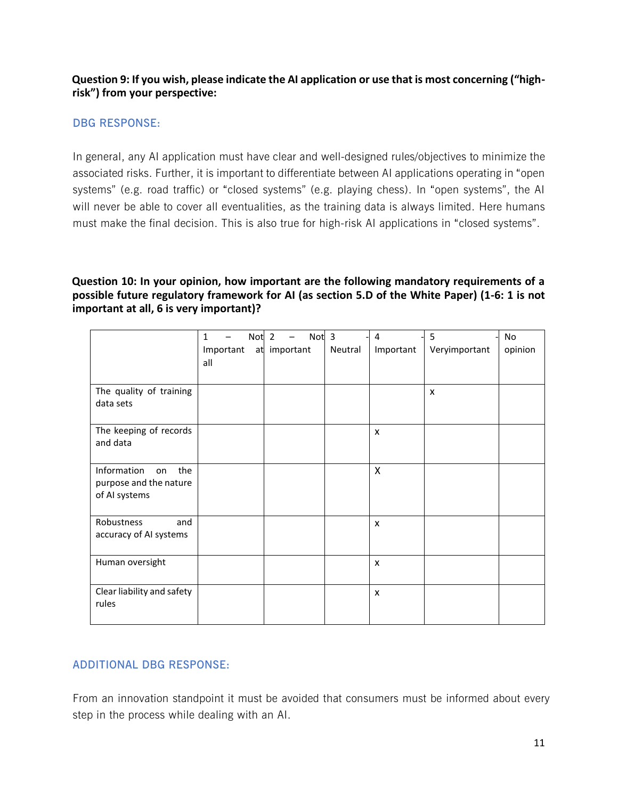#### **Question 9: If you wish, please indicate the AI application or use that is most concerning ("highrisk") from your perspective:**

#### **DBG RESPONSE:**

In general, any AI application must have clear and well-designed rules/objectives to minimize the associated risks. Further, it is important to differentiate between AI applications operating in "open systems" (e.g. road traffic) or "closed systems" (e.g. playing chess). In "open systems", the AI will never be able to cover all eventualities, as the training data is always limited. Here humans must make the final decision. This is also true for high-risk AI applications in "closed systems".

#### **Question 10: In your opinion, how important are the following mandatory requirements of a possible future regulatory framework for AI (as section 5.D of the White Paper) (1-6: 1 is not important at all, 6 is very important)?**

|                                                                     | 1   |           | Not <sub>2</sub> |              | Not <sub>3</sub> |         | 4         | 5             | No      |
|---------------------------------------------------------------------|-----|-----------|------------------|--------------|------------------|---------|-----------|---------------|---------|
|                                                                     | all | Important |                  | at important |                  | Neutral | Important | Veryimportant | opinion |
| The quality of training<br>data sets                                |     |           |                  |              |                  |         |           | X             |         |
| The keeping of records<br>and data                                  |     |           |                  |              |                  |         | X         |               |         |
| Information<br>the<br>on<br>purpose and the nature<br>of AI systems |     |           |                  |              |                  |         | X         |               |         |
| Robustness<br>and<br>accuracy of AI systems                         |     |           |                  |              |                  |         | X         |               |         |
| Human oversight                                                     |     |           |                  |              |                  |         | X         |               |         |
| Clear liability and safety<br>rules                                 |     |           |                  |              |                  |         | X         |               |         |

#### **ADDITIONAL DBG RESPONSE:**

From an innovation standpoint it must be avoided that consumers must be informed about every step in the process while dealing with an AI.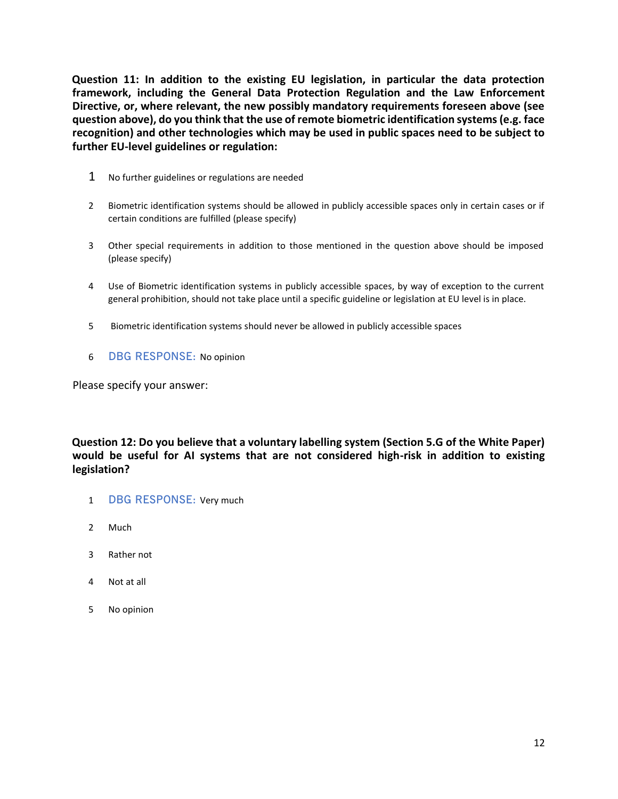**Question 11: In addition to the existing EU legislation, in particular the data protection framework, including the General Data Protection Regulation and the Law Enforcement Directive, or, where relevant, the new possibly mandatory requirements foreseen above (see question above), do you think that the use of remote biometric identification systems (e.g. face recognition) and other technologies which may be used in public spaces need to be subject to further EU-level guidelines or regulation:**

- 1 No further guidelines or regulations are needed
- 2 Biometric identification systems should be allowed in publicly accessible spaces only in certain cases or if certain conditions are fulfilled (please specify)
- 3 Other special requirements in addition to those mentioned in the question above should be imposed (please specify)
- 4 Use of Biometric identification systems in publicly accessible spaces, by way of exception to the current general prohibition, should not take place until a specific guideline or legislation at EU level is in place.
- 5 Biometric identification systems should never be allowed in publicly accessible spaces
- 6 **DBG RESPONSE:** No opinion

Please specify your answer:

**Question 12: Do you believe that a voluntary labelling system (Section 5.G of the White Paper) would be useful for AI systems that are not considered high-risk in addition to existing legislation?**

- 1 **DBG RESPONSE:** Very much
- 2 Much
- 3 Rather not
- 4 Not at all
- 5 No opinion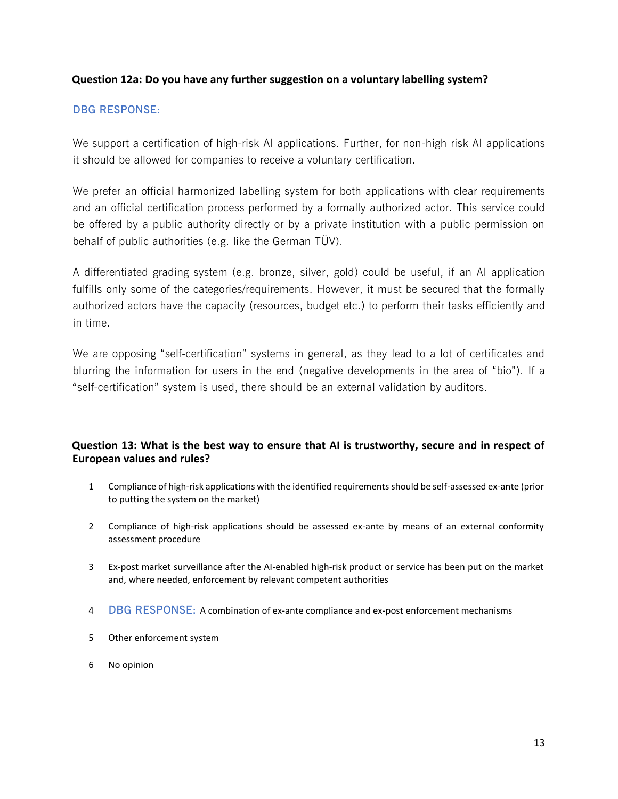#### **Question 12a: Do you have any further suggestion on a voluntary labelling system?**

#### **DBG RESPONSE:**

We support a certification of high-risk AI applications. Further, for non-high risk AI applications it should be allowed for companies to receive a voluntary certification.

We prefer an official harmonized labelling system for both applications with clear requirements and an official certification process performed by a formally authorized actor. This service could be offered by a public authority directly or by a private institution with a public permission on behalf of public authorities (e.g. like the German TÜV).

A differentiated grading system (e.g. bronze, silver, gold) could be useful, if an AI application fulfills only some of the categories/requirements. However, it must be secured that the formally authorized actors have the capacity (resources, budget etc.) to perform their tasks efficiently and in time.

We are opposing "self-certification" systems in general, as they lead to a lot of certificates and blurring the information for users in the end (negative developments in the area of "bio"). If a "self-certification" system is used, there should be an external validation by auditors.

#### **Question 13: What is the best way to ensure that AI is trustworthy, secure and in respect of European values and rules?**

- 1 Compliance of high-risk applications with the identified requirements should be self-assessed ex-ante (prior to putting the system on the market)
- 2 Compliance of high-risk applications should be assessed ex-ante by means of an external conformity assessment procedure
- 3 Ex-post market surveillance after the AI-enabled high-risk product or service has been put on the market and, where needed, enforcement by relevant competent authorities
- 4 **DBG RESPONSE:** A combination of ex-ante compliance and ex-post enforcement mechanisms
- 5 Other enforcement system
- 6 No opinion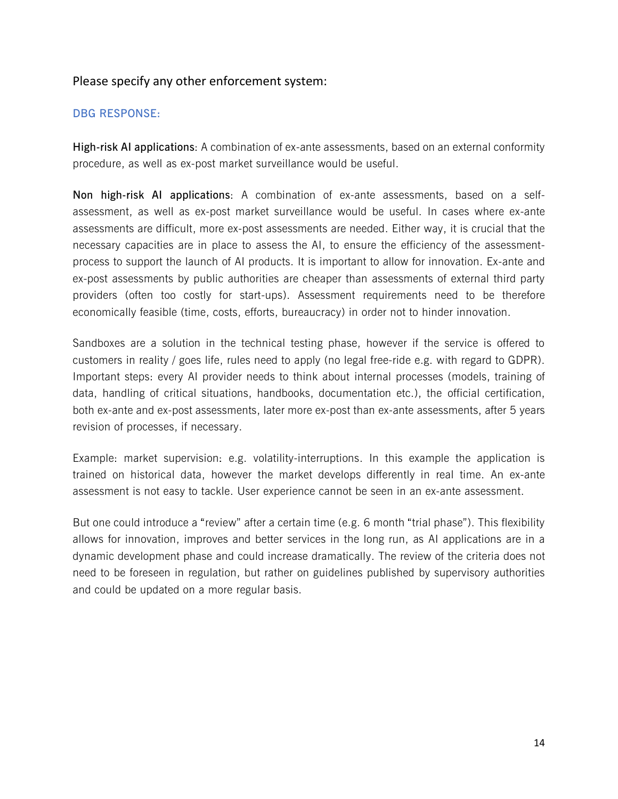#### Please specify any other enforcement system:

#### **DBG RESPONSE:**

**High-risk AI applications**: A combination of ex-ante assessments, based on an external conformity procedure, as well as ex-post market surveillance would be useful.

**Non high-risk AI applications**: A combination of ex-ante assessments, based on a selfassessment, as well as ex-post market surveillance would be useful. In cases where ex-ante assessments are difficult, more ex-post assessments are needed. Either way, it is crucial that the necessary capacities are in place to assess the AI, to ensure the efficiency of the assessmentprocess to support the launch of AI products. It is important to allow for innovation. Ex-ante and ex-post assessments by public authorities are cheaper than assessments of external third party providers (often too costly for start-ups). Assessment requirements need to be therefore economically feasible (time, costs, efforts, bureaucracy) in order not to hinder innovation.

Sandboxes are a solution in the technical testing phase, however if the service is offered to customers in reality / goes life, rules need to apply (no legal free-ride e.g. with regard to GDPR). Important steps: every AI provider needs to think about internal processes (models, training of data, handling of critical situations, handbooks, documentation etc.), the official certification, both ex-ante and ex-post assessments, later more ex-post than ex-ante assessments, after 5 years revision of processes, if necessary.

Example: market supervision: e.g. volatility-interruptions. In this example the application is trained on historical data, however the market develops differently in real time. An ex-ante assessment is not easy to tackle. User experience cannot be seen in an ex-ante assessment.

But one could introduce a "review" after a certain time (e.g. 6 month "trial phase"). This flexibility allows for innovation, improves and better services in the long run, as AI applications are in a dynamic development phase and could increase dramatically. The review of the criteria does not need to be foreseen in regulation, but rather on guidelines published by supervisory authorities and could be updated on a more regular basis.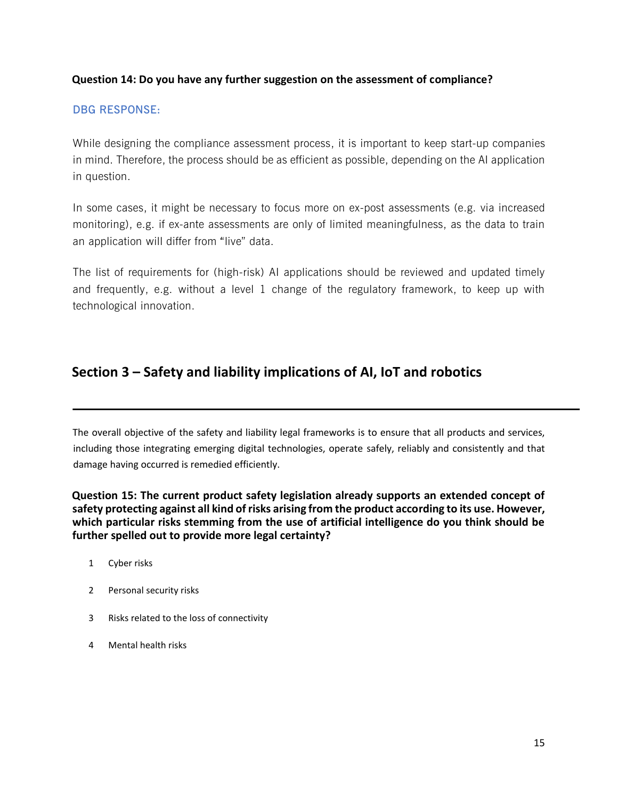#### **Question 14: Do you have any further suggestion on the assessment of compliance?**

#### **DBG RESPONSE:**

While designing the compliance assessment process, it is important to keep start-up companies in mind. Therefore, the process should be as efficient as possible, depending on the AI application in question.

In some cases, it might be necessary to focus more on ex-post assessments (e.g. via increased monitoring), e.g. if ex-ante assessments are only of limited meaningfulness, as the data to train an application will differ from "live" data.

The list of requirements for (high-risk) AI applications should be reviewed and updated timely and frequently, e.g. without a level 1 change of the regulatory framework, to keep up with technological innovation.

### **Section 3 – Safety and liability implications of AI, IoT and robotics**

The overall objective of the safety and liability legal frameworks is to ensure that all products and services, including those integrating emerging digital technologies, operate safely, reliably and consistently and that damage having occurred is remedied efficiently.

**Question 15: The current product safety legislation already supports an extended concept of safety protecting against all kind of risks arising from the product according to its use. However, which particular risks stemming from the use of artificial intelligence do you think should be further spelled out to provide more legal certainty?**

- 1 Cyber risks
- 2 Personal security risks
- 3 Risks related to the loss of connectivity
- 4 Mental health risks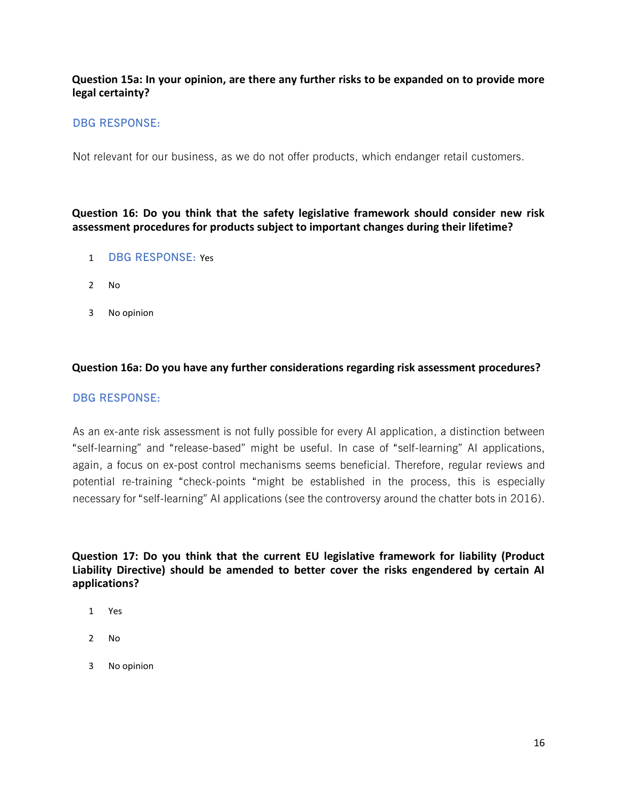#### **Question 15a: In your opinion, are there any further risks to be expanded on to provide more legal certainty?**

#### **DBG RESPONSE:**

Not relevant for our business, as we do not offer products, which endanger retail customers.

**Question 16: Do you think that the safety legislative framework should consider new risk assessment procedures for products subject to important changes during their lifetime?**

- 1 **DBG RESPONSE:** Yes
- 2 No
- 3 No opinion

#### **Question 16a: Do you have any further considerations regarding risk assessment procedures?**

#### **DBG RESPONSE:**

As an ex-ante risk assessment is not fully possible for every AI application, a distinction between "self-learning" and "release-based" might be useful. In case of "self-learning" AI applications, again, a focus on ex-post control mechanisms seems beneficial. Therefore, regular reviews and potential re-training "check-points "might be established in the process, this is especially necessary for "self-learning" AI applications (see the controversy around the chatter bots in 2016).

**Question 17: Do you think that the current EU legislative framework for liability (Product Liability Directive) should be amended to better cover the risks engendered by certain AI applications?**

- 1 Yes
- 2 No
- 3 No opinion